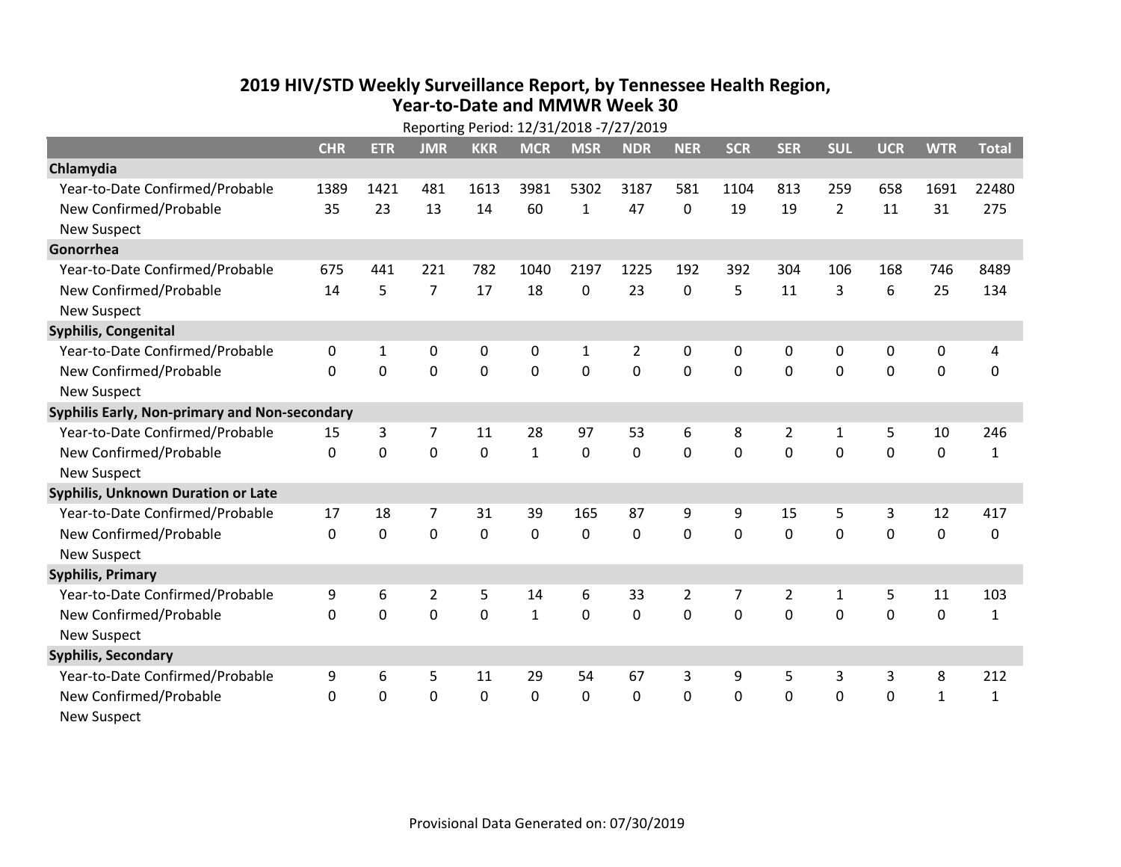## **2019 HIV /STD Weekly Surveillance Report, by Tennessee Health Region, Year‐to‐Date and MMWR Week 30**

| Reporting Period: 12/31/2018 -7/27/2019       |            |              |                |            |              |              |                |                |             |                |                |                  |              |              |
|-----------------------------------------------|------------|--------------|----------------|------------|--------------|--------------|----------------|----------------|-------------|----------------|----------------|------------------|--------------|--------------|
|                                               | <b>CHR</b> | <b>ETR</b>   | <b>JMR</b>     | <b>KKR</b> | <b>MCR</b>   | <b>MSR</b>   | <b>NDR</b>     | <b>NER</b>     | <b>SCR</b>  | <b>SER</b>     | <b>SUL</b>     | <b>UCR</b>       | <b>WTR</b>   | <b>Total</b> |
| Chlamydia                                     |            |              |                |            |              |              |                |                |             |                |                |                  |              |              |
| Year-to-Date Confirmed/Probable               | 1389       | 1421         | 481            | 1613       | 3981         | 5302         | 3187           | 581            | 1104        | 813            | 259            | 658              | 1691         | 22480        |
| New Confirmed/Probable                        | 35         | 23           | 13             | 14         | 60           | $\mathbf{1}$ | 47             | 0              | 19          | 19             | $\overline{2}$ | 11               | 31           | 275          |
| <b>New Suspect</b>                            |            |              |                |            |              |              |                |                |             |                |                |                  |              |              |
| Gonorrhea                                     |            |              |                |            |              |              |                |                |             |                |                |                  |              |              |
| Year-to-Date Confirmed/Probable               | 675        | 441          | 221            | 782        | 1040         | 2197         | 1225           | 192            | 392         | 304            | 106            | 168              | 746          | 8489         |
| New Confirmed/Probable                        | 14         | 5            | $\overline{7}$ | 17         | 18           | 0            | 23             | $\mathbf{0}$   | 5           | 11             | 3              | 6                | 25           | 134          |
| New Suspect                                   |            |              |                |            |              |              |                |                |             |                |                |                  |              |              |
| <b>Syphilis, Congenital</b>                   |            |              |                |            |              |              |                |                |             |                |                |                  |              |              |
| Year-to-Date Confirmed/Probable               | 0          | $\mathbf{1}$ | 0              | 0          | 0            | $\mathbf{1}$ | $\overline{2}$ | 0              | 0           | $\pmb{0}$      | $\mathbf 0$    | $\boldsymbol{0}$ | $\pmb{0}$    | 4            |
| New Confirmed/Probable                        | $\Omega$   | $\mathbf 0$  | $\mathbf 0$    | 0          | 0            | $\mathbf 0$  | 0              | 0              | 0           | $\mathbf 0$    | $\mathbf 0$    | 0                | $\mathbf 0$  | 0            |
| <b>New Suspect</b>                            |            |              |                |            |              |              |                |                |             |                |                |                  |              |              |
| Syphilis Early, Non-primary and Non-secondary |            |              |                |            |              |              |                |                |             |                |                |                  |              |              |
| Year-to-Date Confirmed/Probable               | 15         | 3            | $\overline{7}$ | 11         | 28           | 97           | 53             | 6              | 8           | $\overline{2}$ | 1              | 5                | 10           | 246          |
| New Confirmed/Probable                        | 0          | $\mathbf 0$  | $\mathbf 0$    | 0          | $\mathbf{1}$ | $\mathbf 0$  | 0              | $\overline{0}$ | $\mathbf 0$ | $\mathbf 0$    | $\mathbf 0$    | 0                | $\pmb{0}$    | $\mathbf{1}$ |
| <b>New Suspect</b>                            |            |              |                |            |              |              |                |                |             |                |                |                  |              |              |
| Syphilis, Unknown Duration or Late            |            |              |                |            |              |              |                |                |             |                |                |                  |              |              |
| Year-to-Date Confirmed/Probable               | 17         | 18           | 7              | 31         | 39           | 165          | 87             | 9              | 9           | 15             | 5              | 3                | 12           | 417          |
| New Confirmed/Probable                        | $\Omega$   | $\mathbf 0$  | $\mathbf 0$    | 0          | $\mathbf 0$  | 0            | 0              | $\Omega$       | 0           | 0              | $\mathbf 0$    | $\overline{0}$   | $\mathbf 0$  | 0            |
| <b>New Suspect</b>                            |            |              |                |            |              |              |                |                |             |                |                |                  |              |              |
| <b>Syphilis, Primary</b>                      |            |              |                |            |              |              |                |                |             |                |                |                  |              |              |
| Year-to-Date Confirmed/Probable               | 9          | 6            | $\overline{2}$ | 5          | 14           | 6            | 33             | $\overline{2}$ | 7           | $\overline{2}$ | $\mathbf{1}$   | 5                | 11           | 103          |
| New Confirmed/Probable                        | $\Omega$   | $\mathbf 0$  | $\mathbf 0$    | 0          | $\mathbf{1}$ | 0            | 0              | $\Omega$       | $\Omega$    | 0              | $\mathbf 0$    | 0                | 0            | $\mathbf{1}$ |
| <b>New Suspect</b>                            |            |              |                |            |              |              |                |                |             |                |                |                  |              |              |
| <b>Syphilis, Secondary</b>                    |            |              |                |            |              |              |                |                |             |                |                |                  |              |              |
| Year-to-Date Confirmed/Probable               | 9          | 6            | 5              | 11         | 29           | 54           | 67             | 3              | 9           | 5              | 3              | 3                | 8            | 212          |
| New Confirmed/Probable                        | 0          | $\mathbf 0$  | $\mathbf 0$    | 0          | 0            | 0            | 0              | 0              | 0           | 0              | $\mathbf 0$    | 0                | $\mathbf{1}$ | $\mathbf{1}$ |
| <b>New Suspect</b>                            |            |              |                |            |              |              |                |                |             |                |                |                  |              |              |